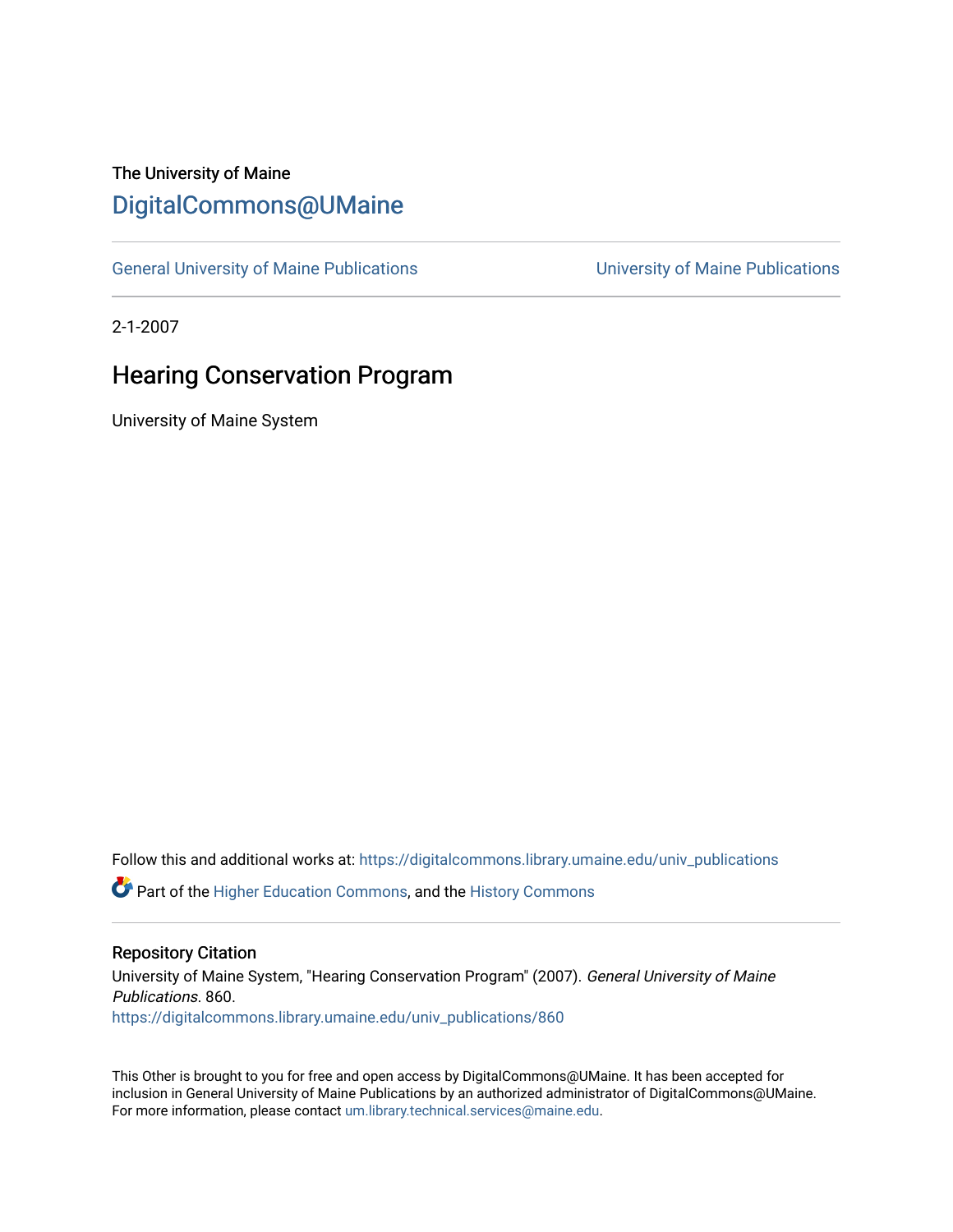## The University of Maine [DigitalCommons@UMaine](https://digitalcommons.library.umaine.edu/)

[General University of Maine Publications](https://digitalcommons.library.umaine.edu/univ_publications) [University of Maine Publications](https://digitalcommons.library.umaine.edu/umaine_publications) 

2-1-2007

## Hearing Conservation Program

University of Maine System

Follow this and additional works at: [https://digitalcommons.library.umaine.edu/univ\\_publications](https://digitalcommons.library.umaine.edu/univ_publications?utm_source=digitalcommons.library.umaine.edu%2Funiv_publications%2F860&utm_medium=PDF&utm_campaign=PDFCoverPages) 

**C** Part of the [Higher Education Commons,](http://network.bepress.com/hgg/discipline/1245?utm_source=digitalcommons.library.umaine.edu%2Funiv_publications%2F860&utm_medium=PDF&utm_campaign=PDFCoverPages) and the [History Commons](http://network.bepress.com/hgg/discipline/489?utm_source=digitalcommons.library.umaine.edu%2Funiv_publications%2F860&utm_medium=PDF&utm_campaign=PDFCoverPages)

#### Repository Citation

University of Maine System, "Hearing Conservation Program" (2007). General University of Maine Publications. 860. [https://digitalcommons.library.umaine.edu/univ\\_publications/860](https://digitalcommons.library.umaine.edu/univ_publications/860?utm_source=digitalcommons.library.umaine.edu%2Funiv_publications%2F860&utm_medium=PDF&utm_campaign=PDFCoverPages) 

This Other is brought to you for free and open access by DigitalCommons@UMaine. It has been accepted for inclusion in General University of Maine Publications by an authorized administrator of DigitalCommons@UMaine. For more information, please contact [um.library.technical.services@maine.edu](mailto:um.library.technical.services@maine.edu).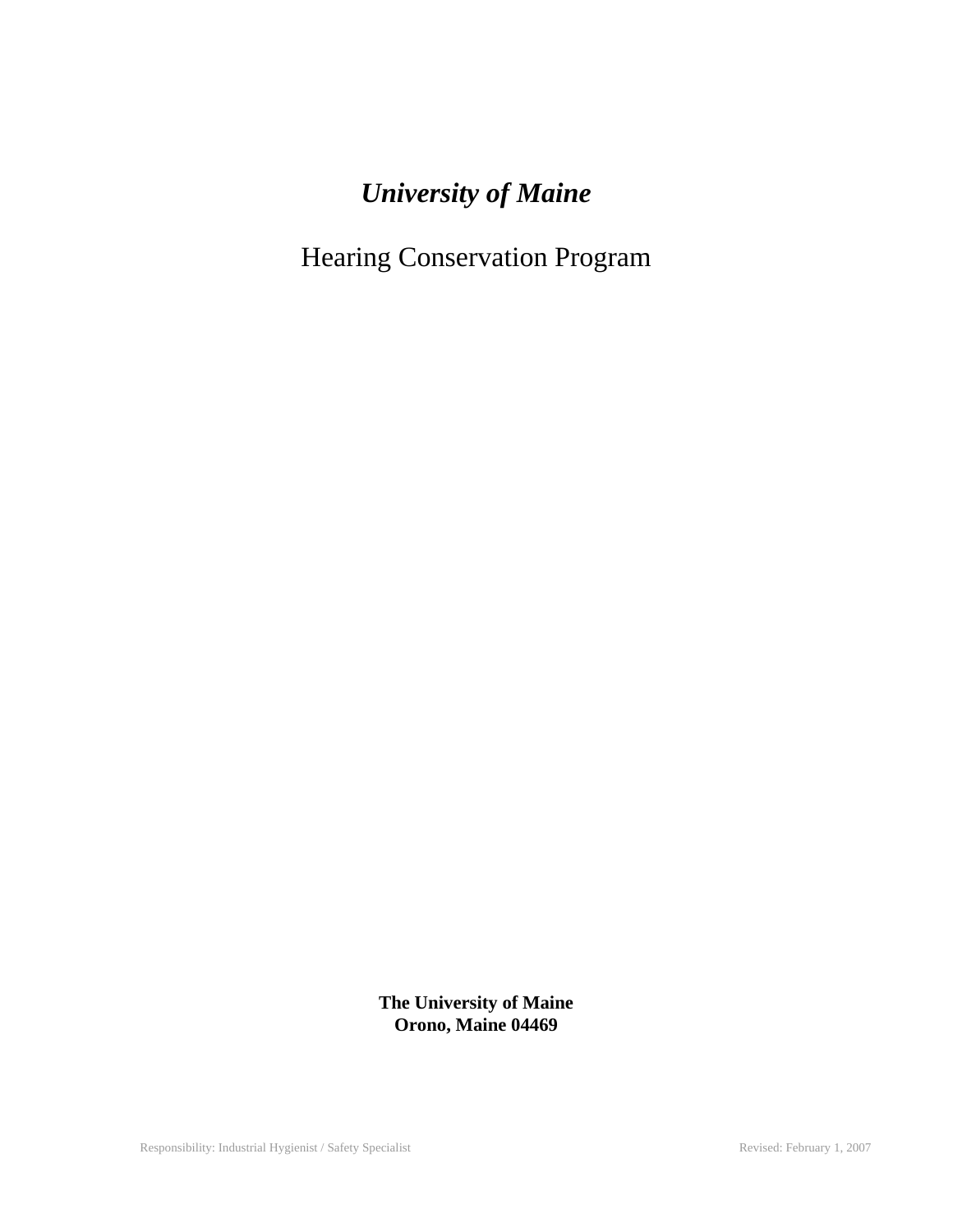# *University of Maine*

Hearing Conservation Program

**The University of Maine Orono, Maine 04469**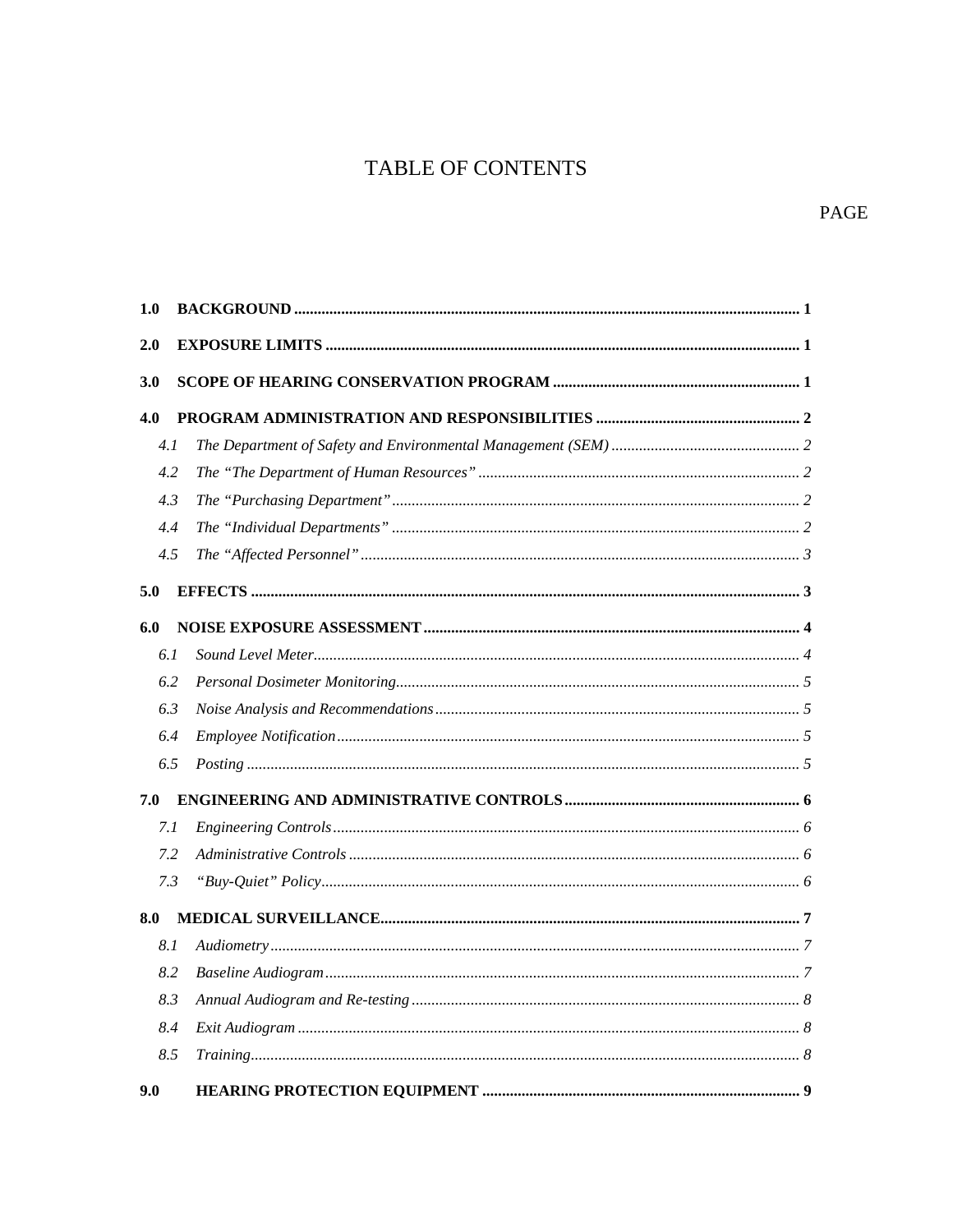## TABLE OF CONTENTS

#### PAGE

| 1.0 |  |
|-----|--|
| 2.0 |  |
| 3.0 |  |
| 4.0 |  |
| 4.1 |  |
| 4.2 |  |
| 4.3 |  |
| 4.4 |  |
| 4.5 |  |
| 5.0 |  |
| 6.0 |  |
| 6.1 |  |
| 6.2 |  |
| 6.3 |  |
| 6.4 |  |
| 6.5 |  |
| 7.0 |  |
| 7.1 |  |
| 7.2 |  |
| 7.3 |  |
| 8.0 |  |
| 8.1 |  |
| 8.2 |  |
| 8.3 |  |
| 8.4 |  |
| 8.5 |  |
| 9.0 |  |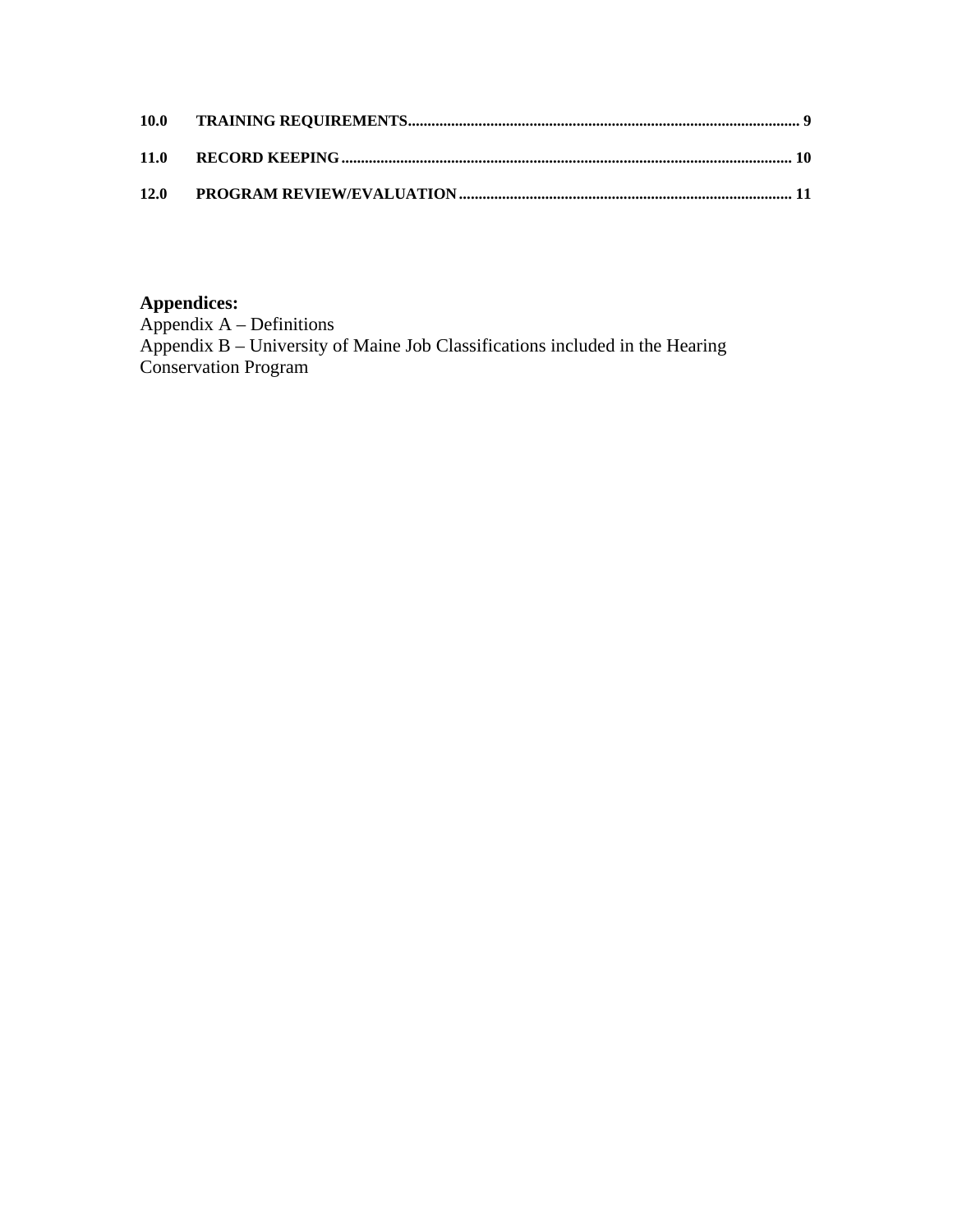| 11.0 |  |
|------|--|
| 12.0 |  |

#### **Appendices:**

Appendix A – Definitions Appendix B – University of Maine Job Classifications included in the Hearing Conservation Program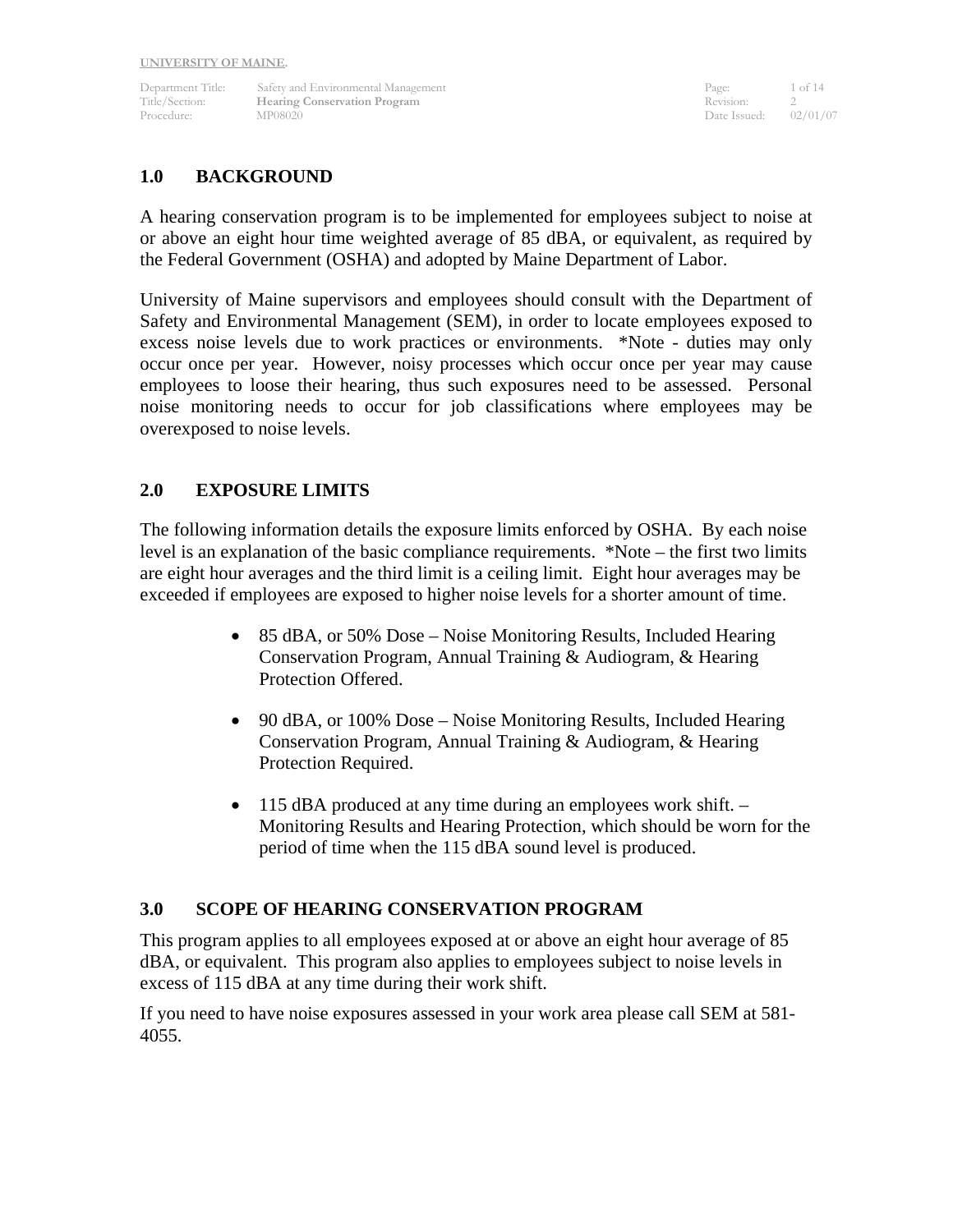Department Title: Safety and Environmental Management Page: 1 of 14 Title/Section: **Hearing Conservation Program** Revision: 2<br>Procedure: MP08020 Procedure: 02/01/07 Procedure: MP08020 Date Issued: 02/02/02/02/07 Date Issued: 02/02/07/07/07/07/07/07

#### **1.0 BACKGROUND**

A hearing conservation program is to be implemented for employees subject to noise at or above an eight hour time weighted average of 85 dBA, or equivalent, as required by the Federal Government (OSHA) and adopted by Maine Department of Labor.

University of Maine supervisors and employees should consult with the Department of Safety and Environmental Management (SEM), in order to locate employees exposed to excess noise levels due to work practices or environments. \*Note - duties may only occur once per year. However, noisy processes which occur once per year may cause employees to loose their hearing, thus such exposures need to be assessed. Personal noise monitoring needs to occur for job classifications where employees may be overexposed to noise levels.

#### **2.0 EXPOSURE LIMITS**

The following information details the exposure limits enforced by OSHA. By each noise level is an explanation of the basic compliance requirements. \*Note – the first two limits are eight hour averages and the third limit is a ceiling limit. Eight hour averages may be exceeded if employees are exposed to higher noise levels for a shorter amount of time.

- 85 dBA, or 50% Dose Noise Monitoring Results, Included Hearing Conservation Program, Annual Training & Audiogram, & Hearing Protection Offered.
- 90 dBA, or 100% Dose Noise Monitoring Results, Included Hearing Conservation Program, Annual Training & Audiogram, & Hearing Protection Required.
- 115 dBA produced at any time during an employees work shift. Monitoring Results and Hearing Protection, which should be worn for the period of time when the 115 dBA sound level is produced.

#### **3.0 SCOPE OF HEARING CONSERVATION PROGRAM**

This program applies to all employees exposed at or above an eight hour average of 85 dBA, or equivalent. This program also applies to employees subject to noise levels in excess of 115 dBA at any time during their work shift.

If you need to have noise exposures assessed in your work area please call SEM at 581- 4055.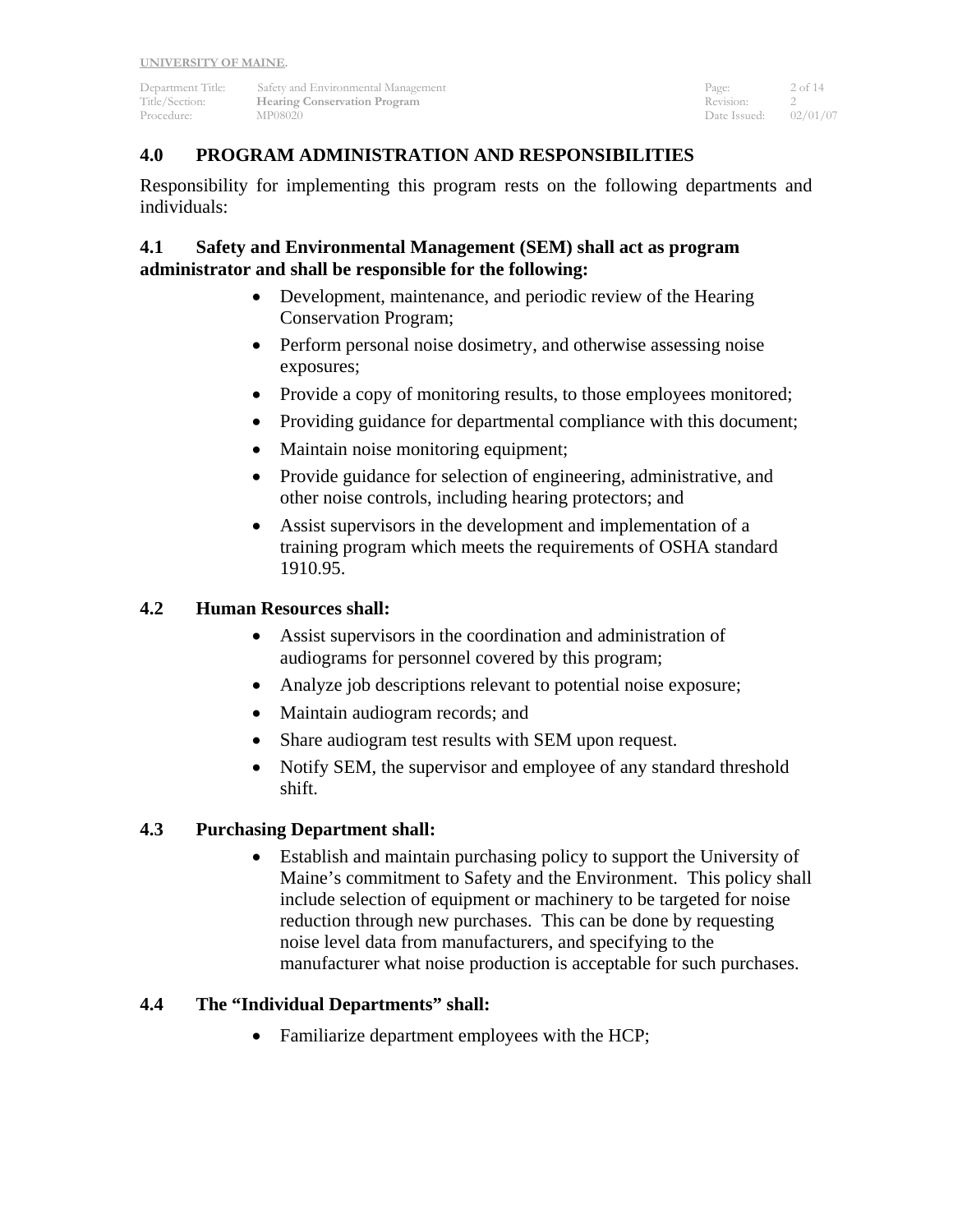Department Title: Safety and Environmental Management Page: 2 of 14<br>
2 Of 14<br>
2 Of 14<br>
2 Of 14 **The Example 2 Section:** The Section: 2 Section: 2 Section: 2 Section: 2 Section: 2 Section: 2 Section: 2 Section: 2 Section: 2 Section: 2 Section: 2 Section: 2 Section: 2 Section: 2 Section: 2 Section: 2 Section: 2 Sectio Procedure: MP08020 Date Issued: 02/01/07

## **4.0 PROGRAM ADMINISTRATION AND RESPONSIBILITIES**

Responsibility for implementing this program rests on the following departments and individuals:

#### **4.1 Safety and Environmental Management (SEM) shall act as program administrator and shall be responsible for the following:**

- Development, maintenance, and periodic review of the Hearing Conservation Program;
- Perform personal noise dosimetry, and otherwise assessing noise exposures;
- Provide a copy of monitoring results, to those employees monitored;
- Providing guidance for departmental compliance with this document;
- Maintain noise monitoring equipment;
- Provide guidance for selection of engineering, administrative, and other noise controls, including hearing protectors; and
- Assist supervisors in the development and implementation of a training program which meets the requirements of OSHA standard 1910.95.

## **4.2 Human Resources shall:**

- Assist supervisors in the coordination and administration of audiograms for personnel covered by this program;
- Analyze job descriptions relevant to potential noise exposure;
- Maintain audiogram records; and
- Share audiogram test results with SEM upon request.
- Notify SEM, the supervisor and employee of any standard threshold shift.

## **4.3 Purchasing Department shall:**

• Establish and maintain purchasing policy to support the University of Maine's commitment to Safety and the Environment. This policy shall include selection of equipment or machinery to be targeted for noise reduction through new purchases. This can be done by requesting noise level data from manufacturers, and specifying to the manufacturer what noise production is acceptable for such purchases.

### **4.4 The "Individual Departments" shall:**

• Familiarize department employees with the HCP;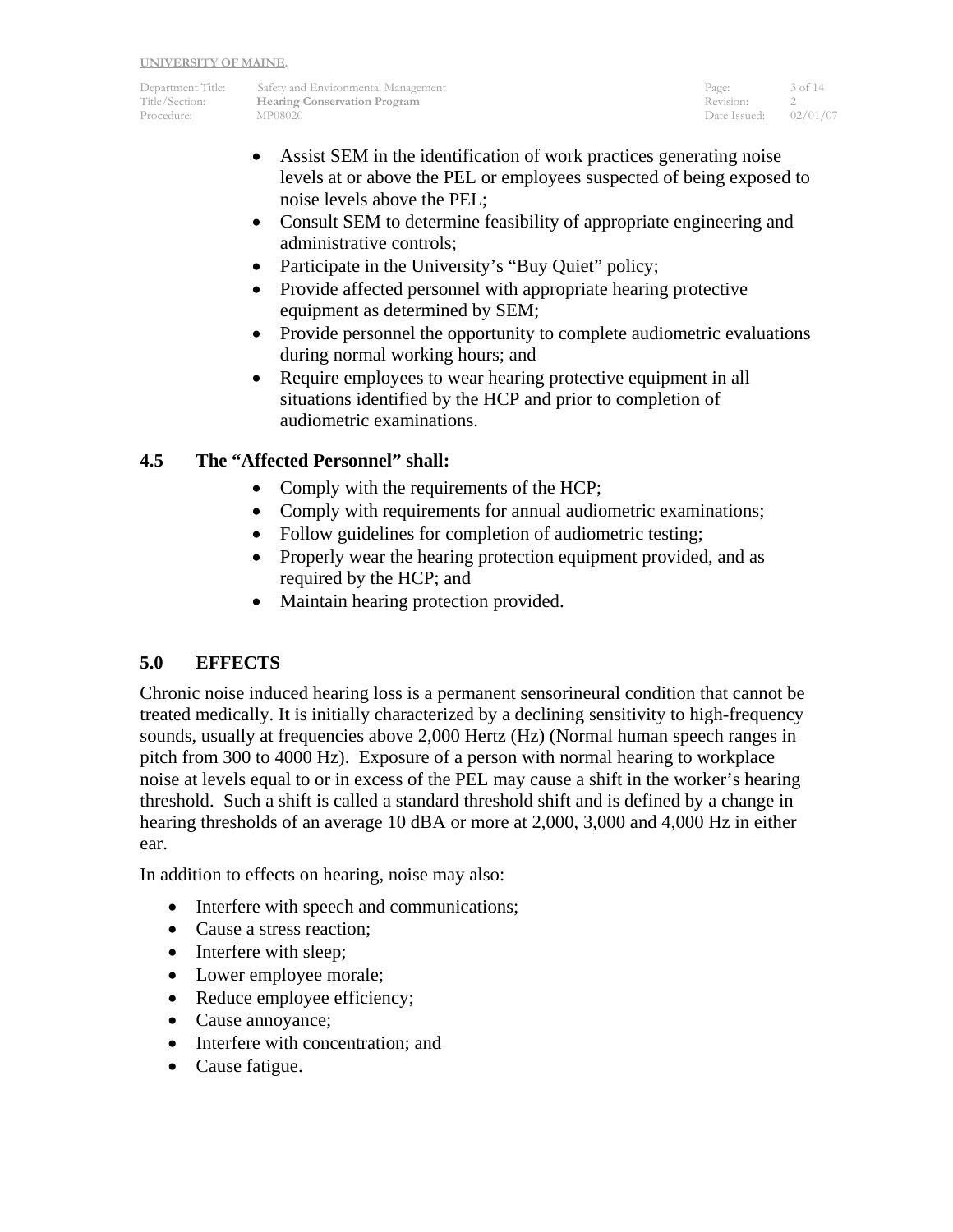Department Title: Safety and Environmental Management Page: 3 of 14 Title/Section: **Hearing Conservation Program** Revision: 2<br>Procedure: MP08020 Procedure: 02/01/07 Procedure: MP08020 Date Issued: 02/02/02/02/07 Date Issued: 02/02/07/07/07/07/07/07

- Assist SEM in the identification of work practices generating noise levels at or above the PEL or employees suspected of being exposed to noise levels above the PEL;
- Consult SEM to determine feasibility of appropriate engineering and administrative controls;
- Participate in the University's "Buy Quiet" policy;
- Provide affected personnel with appropriate hearing protective equipment as determined by SEM;
- Provide personnel the opportunity to complete audiometric evaluations during normal working hours; and
- Require employees to wear hearing protective equipment in all situations identified by the HCP and prior to completion of audiometric examinations.

## **4.5 The "Affected Personnel" shall:**

- Comply with the requirements of the HCP;
- Comply with requirements for annual audiometric examinations;
- Follow guidelines for completion of audiometric testing;
- Properly wear the hearing protection equipment provided, and as required by the HCP; and
- Maintain hearing protection provided.

## **5.0 EFFECTS**

Chronic noise induced hearing loss is a permanent sensorineural condition that cannot be treated medically. It is initially characterized by a declining sensitivity to high-frequency sounds, usually at frequencies above 2,000 Hertz (Hz) (Normal human speech ranges in pitch from 300 to 4000 Hz). Exposure of a person with normal hearing to workplace noise at levels equal to or in excess of the PEL may cause a shift in the worker's hearing threshold. Such a shift is called a standard threshold shift and is defined by a change in hearing thresholds of an average 10 dBA or more at 2,000, 3,000 and 4,000 Hz in either ear.

In addition to effects on hearing, noise may also:

- Interfere with speech and communications;
- Cause a stress reaction;
- Interfere with sleep;
- Lower employee morale;
- Reduce employee efficiency;
- Cause annoyance;
- Interfere with concentration; and
- Cause fatigue.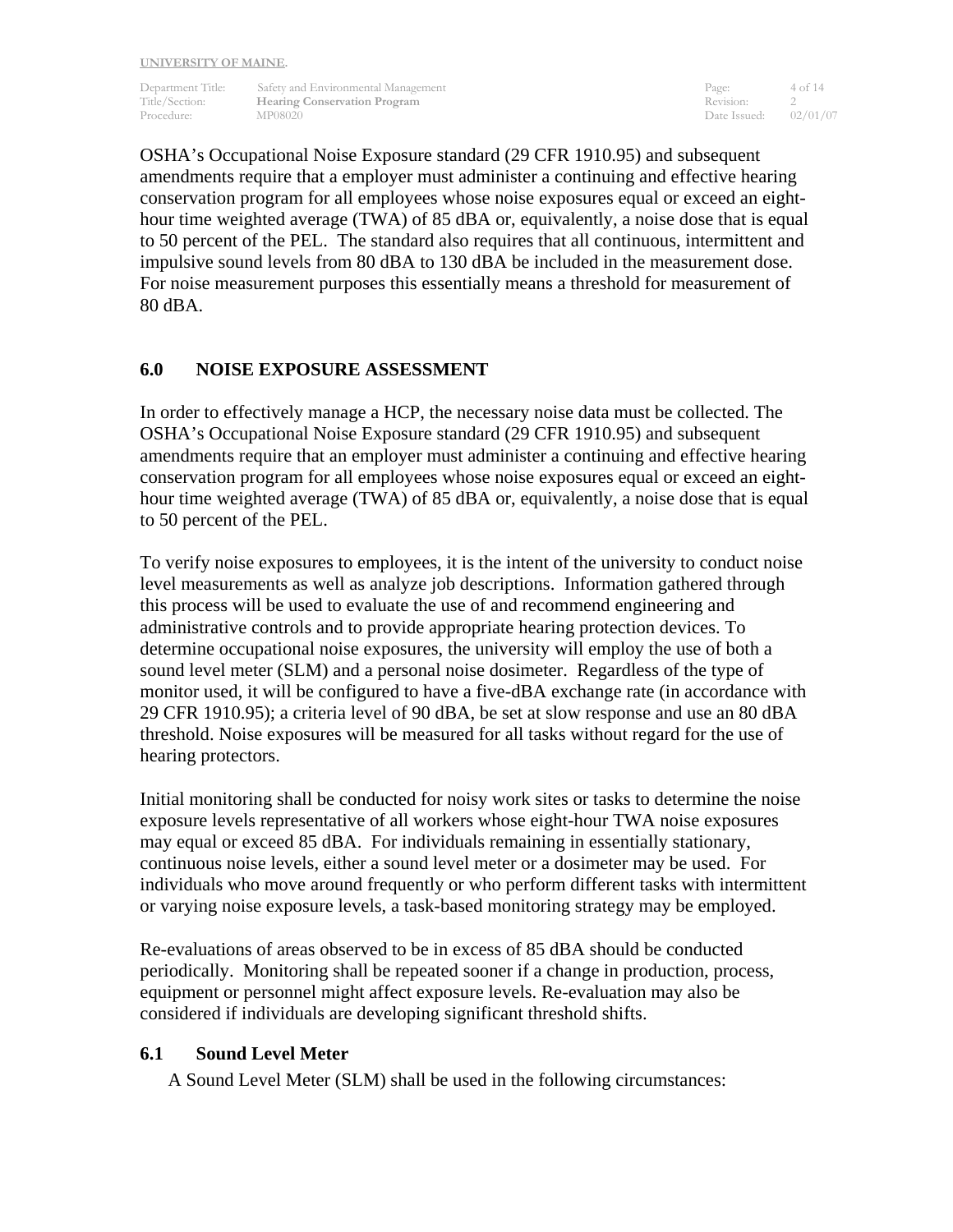Department Title: Safety and Environmental Management Page: 4 of 14 Title/Section: **Hearing Conservation Program** Revision: 2<br>Procedure: MP08020 **MP08020** 2001/07 Procedure: MP08020 MP08020 Date Issued: 02/01/07

OSHA's Occupational Noise Exposure standard (29 CFR 1910.95) and subsequent amendments require that a employer must administer a continuing and effective hearing conservation program for all employees whose noise exposures equal or exceed an eighthour time weighted average (TWA) of 85 dBA or, equivalently, a noise dose that is equal to 50 percent of the PEL. The standard also requires that all continuous, intermittent and impulsive sound levels from 80 dBA to 130 dBA be included in the measurement dose. For noise measurement purposes this essentially means a threshold for measurement of 80 dBA.

#### **6.0 NOISE EXPOSURE ASSESSMENT**

In order to effectively manage a HCP, the necessary noise data must be collected. The OSHA's Occupational Noise Exposure standard (29 CFR 1910.95) and subsequent amendments require that an employer must administer a continuing and effective hearing conservation program for all employees whose noise exposures equal or exceed an eighthour time weighted average (TWA) of 85 dBA or, equivalently, a noise dose that is equal to 50 percent of the PEL.

To verify noise exposures to employees, it is the intent of the university to conduct noise level measurements as well as analyze job descriptions. Information gathered through this process will be used to evaluate the use of and recommend engineering and administrative controls and to provide appropriate hearing protection devices. To determine occupational noise exposures, the university will employ the use of both a sound level meter (SLM) and a personal noise dosimeter. Regardless of the type of monitor used, it will be configured to have a five-dBA exchange rate (in accordance with 29 CFR 1910.95); a criteria level of 90 dBA, be set at slow response and use an 80 dBA threshold. Noise exposures will be measured for all tasks without regard for the use of hearing protectors.

Initial monitoring shall be conducted for noisy work sites or tasks to determine the noise exposure levels representative of all workers whose eight-hour TWA noise exposures may equal or exceed 85 dBA. For individuals remaining in essentially stationary, continuous noise levels, either a sound level meter or a dosimeter may be used. For individuals who move around frequently or who perform different tasks with intermittent or varying noise exposure levels, a task-based monitoring strategy may be employed.

Re-evaluations of areas observed to be in excess of 85 dBA should be conducted periodically. Monitoring shall be repeated sooner if a change in production, process, equipment or personnel might affect exposure levels. Re-evaluation may also be considered if individuals are developing significant threshold shifts.

#### **6.1 Sound Level Meter**

A Sound Level Meter (SLM) shall be used in the following circumstances: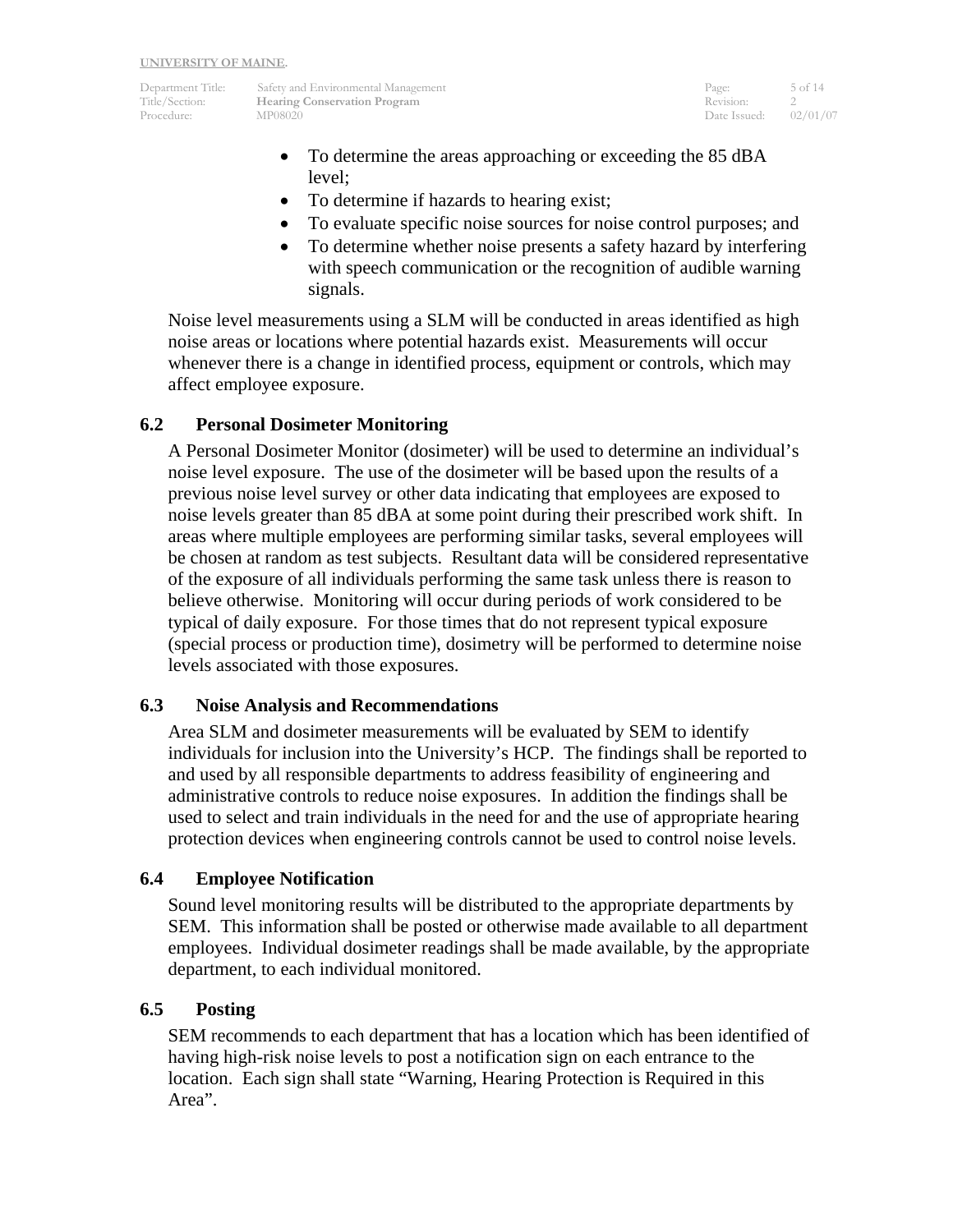Department Title: Safety and Environmental Management Page: 5 of 14 Title/Section: **Hearing Conservation Program** Revision: 2<br>Procedure: MP08020 Procedure: 02/01/07

Procedure: MP08020 MP08020 Date Issued: 02/01/07

- To determine the areas approaching or exceeding the 85 dBA level;
- To determine if hazards to hearing exist;
- To evaluate specific noise sources for noise control purposes; and
- To determine whether noise presents a safety hazard by interfering with speech communication or the recognition of audible warning signals.

Noise level measurements using a SLM will be conducted in areas identified as high noise areas or locations where potential hazards exist. Measurements will occur whenever there is a change in identified process, equipment or controls, which may affect employee exposure.

#### **6.2 Personal Dosimeter Monitoring**

A Personal Dosimeter Monitor (dosimeter) will be used to determine an individual's noise level exposure. The use of the dosimeter will be based upon the results of a previous noise level survey or other data indicating that employees are exposed to noise levels greater than 85 dBA at some point during their prescribed work shift. In areas where multiple employees are performing similar tasks, several employees will be chosen at random as test subjects. Resultant data will be considered representative of the exposure of all individuals performing the same task unless there is reason to believe otherwise. Monitoring will occur during periods of work considered to be typical of daily exposure. For those times that do not represent typical exposure (special process or production time), dosimetry will be performed to determine noise levels associated with those exposures.

#### **6.3 Noise Analysis and Recommendations**

Area SLM and dosimeter measurements will be evaluated by SEM to identify individuals for inclusion into the University's HCP. The findings shall be reported to and used by all responsible departments to address feasibility of engineering and administrative controls to reduce noise exposures. In addition the findings shall be used to select and train individuals in the need for and the use of appropriate hearing protection devices when engineering controls cannot be used to control noise levels.

#### **6.4 Employee Notification**

Sound level monitoring results will be distributed to the appropriate departments by SEM. This information shall be posted or otherwise made available to all department employees. Individual dosimeter readings shall be made available, by the appropriate department, to each individual monitored.

#### **6.5 Posting**

SEM recommends to each department that has a location which has been identified of having high-risk noise levels to post a notification sign on each entrance to the location. Each sign shall state "Warning, Hearing Protection is Required in this Area".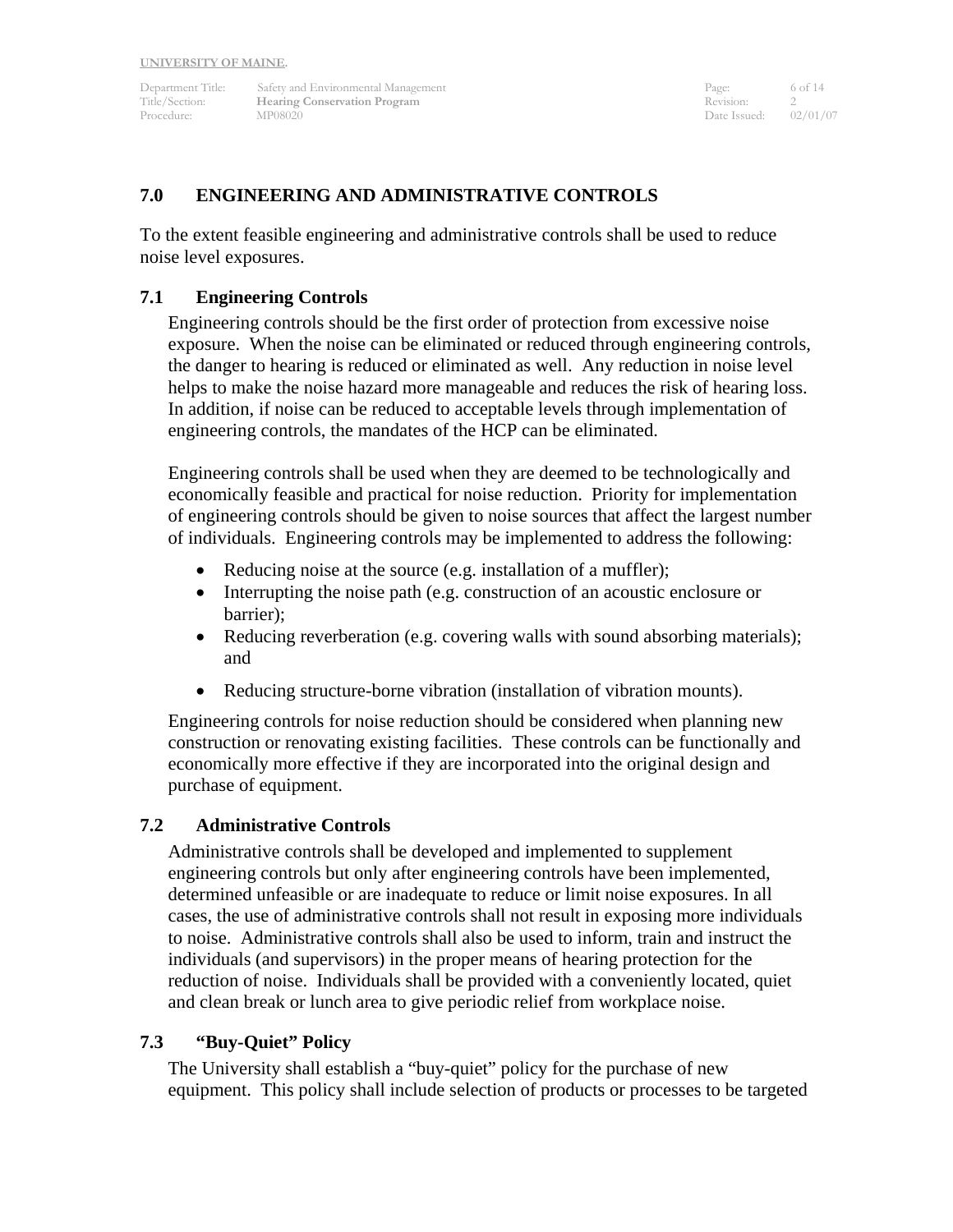Department Title: Safety and Environmental Management Page: 6 of 14 Title/Section: **Hearing Conservation Program** Revision: 2<br>Procedure: MP08020 Procedure: 02/01/07 Procedure: MP08020 Date Issued:

#### **7.0 ENGINEERING AND ADMINISTRATIVE CONTROLS**

To the extent feasible engineering and administrative controls shall be used to reduce noise level exposures.

#### **7.1 Engineering Controls**

Engineering controls should be the first order of protection from excessive noise exposure. When the noise can be eliminated or reduced through engineering controls, the danger to hearing is reduced or eliminated as well. Any reduction in noise level helps to make the noise hazard more manageable and reduces the risk of hearing loss. In addition, if noise can be reduced to acceptable levels through implementation of engineering controls, the mandates of the HCP can be eliminated.

Engineering controls shall be used when they are deemed to be technologically and economically feasible and practical for noise reduction. Priority for implementation of engineering controls should be given to noise sources that affect the largest number of individuals. Engineering controls may be implemented to address the following:

- Reducing noise at the source (e.g. installation of a muffler);
- Interrupting the noise path (e.g. construction of an acoustic enclosure or barrier);
- Reducing reverberation (e.g. covering walls with sound absorbing materials); and
- Reducing structure-borne vibration (installation of vibration mounts).

Engineering controls for noise reduction should be considered when planning new construction or renovating existing facilities. These controls can be functionally and economically more effective if they are incorporated into the original design and purchase of equipment.

#### **7.2 Administrative Controls**

Administrative controls shall be developed and implemented to supplement engineering controls but only after engineering controls have been implemented, determined unfeasible or are inadequate to reduce or limit noise exposures. In all cases, the use of administrative controls shall not result in exposing more individuals to noise. Administrative controls shall also be used to inform, train and instruct the individuals (and supervisors) in the proper means of hearing protection for the reduction of noise. Individuals shall be provided with a conveniently located, quiet and clean break or lunch area to give periodic relief from workplace noise.

#### **7.3 "Buy-Quiet" Policy**

The University shall establish a "buy-quiet" policy for the purchase of new equipment. This policy shall include selection of products or processes to be targeted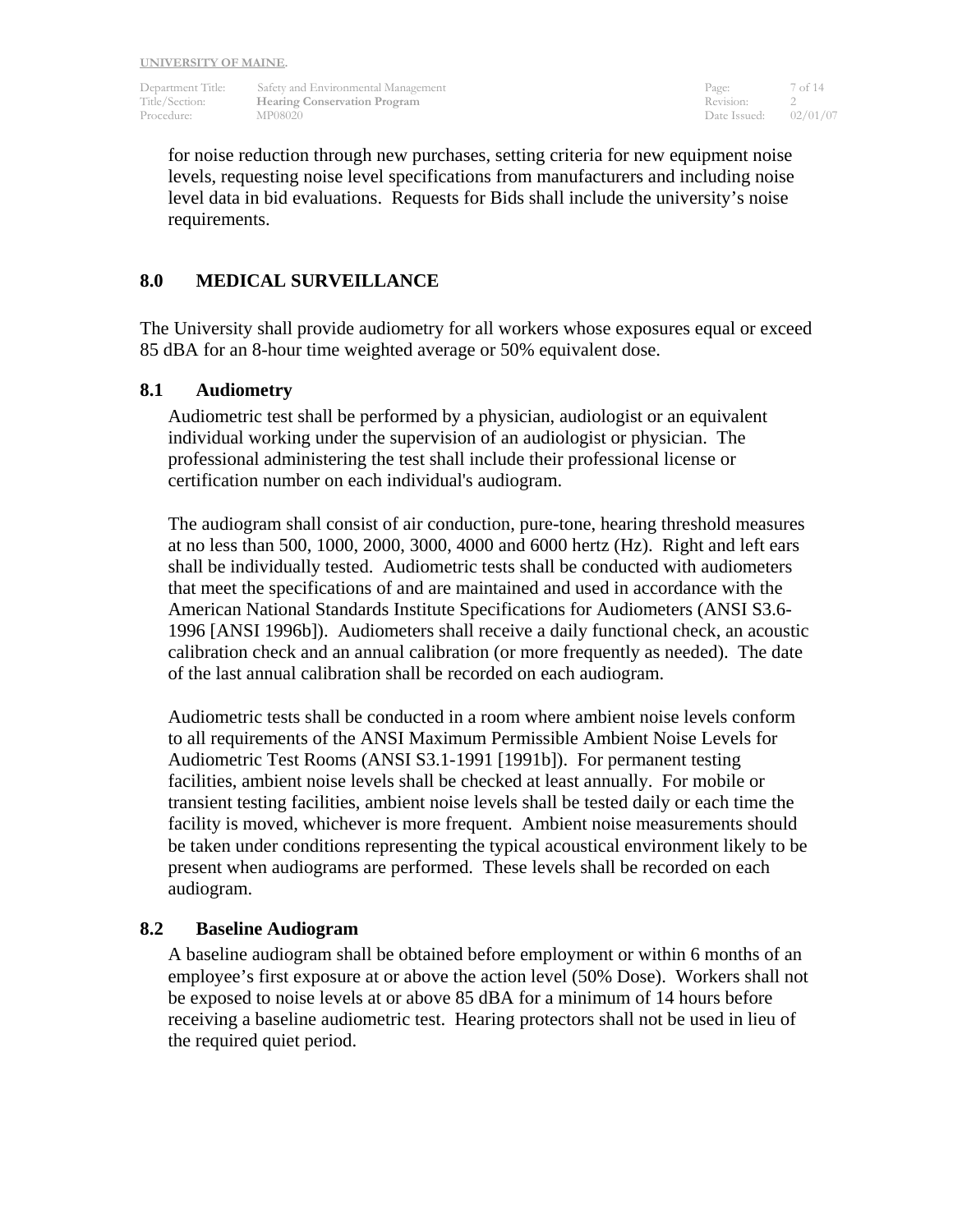Department Title: Safety and Environmental Management Page: 7 of 14 Title/Section: **Hearing Conservation Program** Revision: 2<br>Procedure: MP08020 **Date Issued:** 02/01/07 Procedure: MP08020 MP08020 Date Issued: 02/01/07

for noise reduction through new purchases, setting criteria for new equipment noise levels, requesting noise level specifications from manufacturers and including noise level data in bid evaluations. Requests for Bids shall include the university's noise requirements.

#### **8.0 MEDICAL SURVEILLANCE**

The University shall provide audiometry for all workers whose exposures equal or exceed 85 dBA for an 8-hour time weighted average or 50% equivalent dose.

#### **8.1 Audiometry**

Audiometric test shall be performed by a physician, audiologist or an equivalent individual working under the supervision of an audiologist or physician. The professional administering the test shall include their professional license or certification number on each individual's audiogram.

The audiogram shall consist of air conduction, pure-tone, hearing threshold measures at no less than 500, 1000, 2000, 3000, 4000 and 6000 hertz (Hz). Right and left ears shall be individually tested. Audiometric tests shall be conducted with audiometers that meet the specifications of and are maintained and used in accordance with the American National Standards Institute Specifications for Audiometers (ANSI S3.6- 1996 [ANSI 1996b]). Audiometers shall receive a daily functional check, an acoustic calibration check and an annual calibration (or more frequently as needed). The date of the last annual calibration shall be recorded on each audiogram.

Audiometric tests shall be conducted in a room where ambient noise levels conform to all requirements of the ANSI Maximum Permissible Ambient Noise Levels for Audiometric Test Rooms (ANSI S3.1-1991 [1991b]). For permanent testing facilities, ambient noise levels shall be checked at least annually. For mobile or transient testing facilities, ambient noise levels shall be tested daily or each time the facility is moved, whichever is more frequent. Ambient noise measurements should be taken under conditions representing the typical acoustical environment likely to be present when audiograms are performed. These levels shall be recorded on each audiogram.

#### **8.2 Baseline Audiogram**

A baseline audiogram shall be obtained before employment or within 6 months of an employee's first exposure at or above the action level (50% Dose). Workers shall not be exposed to noise levels at or above 85 dBA for a minimum of 14 hours before receiving a baseline audiometric test. Hearing protectors shall not be used in lieu of the required quiet period.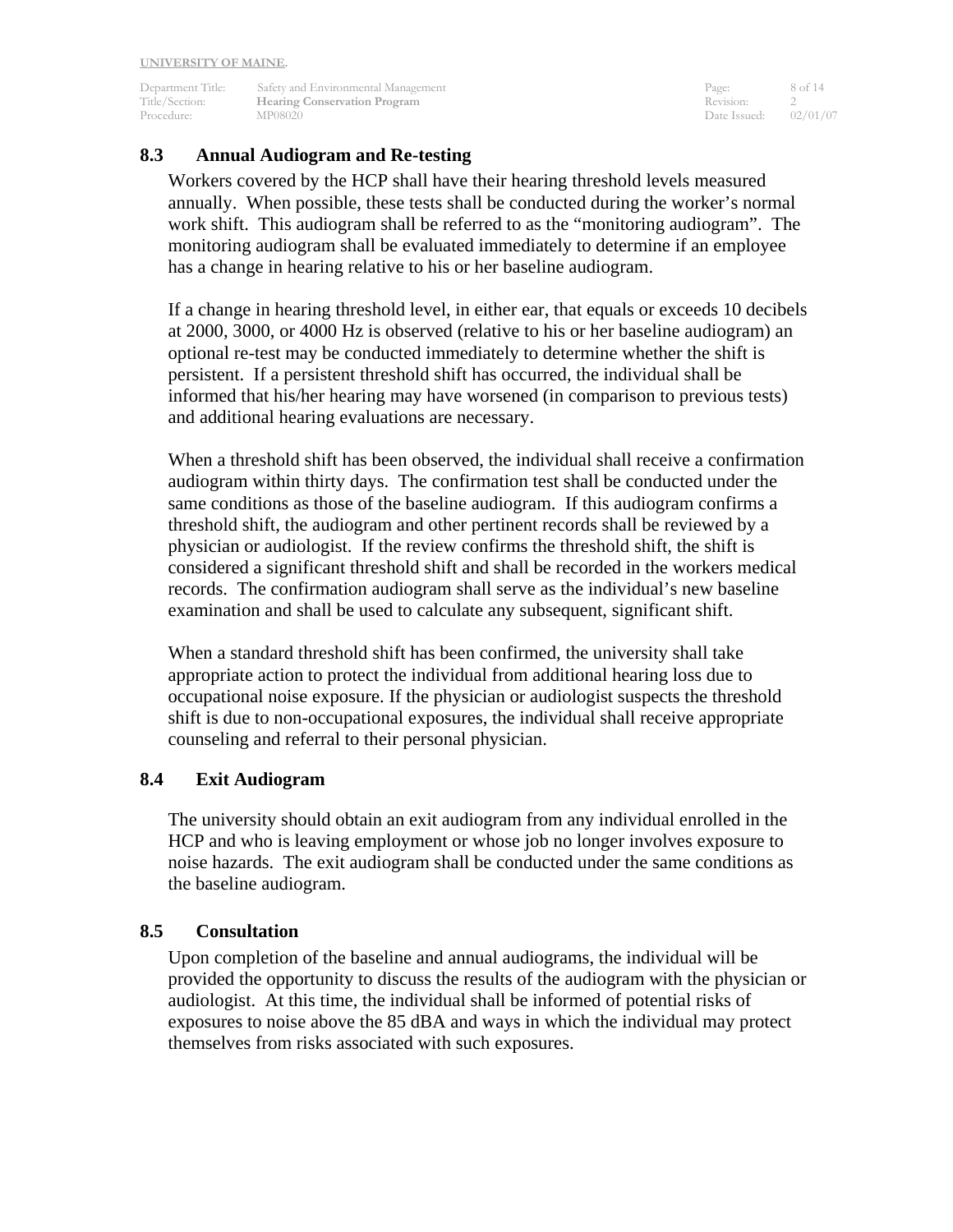Department Title: Safety and Environmental Management Page: 8 of 14<br>
Title/Section: **Hearing Conservation Program** Revision: 2<br>
Procedure: MD00000 **The Example 2 Example 2** Expression: 2<br>
MP08020 Date Issued: 02/01/07 Procedure: MP08020 Date Issued: 02/02/02/02/07 Date Issued: 02/02/07/07/07/07/07/07

#### **8.3 Annual Audiogram and Re-testing**

Workers covered by the HCP shall have their hearing threshold levels measured annually. When possible, these tests shall be conducted during the worker's normal work shift. This audiogram shall be referred to as the "monitoring audiogram". The monitoring audiogram shall be evaluated immediately to determine if an employee has a change in hearing relative to his or her baseline audiogram.

If a change in hearing threshold level, in either ear, that equals or exceeds 10 decibels at 2000, 3000, or 4000 Hz is observed (relative to his or her baseline audiogram) an optional re-test may be conducted immediately to determine whether the shift is persistent. If a persistent threshold shift has occurred, the individual shall be informed that his/her hearing may have worsened (in comparison to previous tests) and additional hearing evaluations are necessary.

When a threshold shift has been observed, the individual shall receive a confirmation audiogram within thirty days. The confirmation test shall be conducted under the same conditions as those of the baseline audiogram. If this audiogram confirms a threshold shift, the audiogram and other pertinent records shall be reviewed by a physician or audiologist. If the review confirms the threshold shift, the shift is considered a significant threshold shift and shall be recorded in the workers medical records. The confirmation audiogram shall serve as the individual's new baseline examination and shall be used to calculate any subsequent, significant shift.

When a standard threshold shift has been confirmed, the university shall take appropriate action to protect the individual from additional hearing loss due to occupational noise exposure. If the physician or audiologist suspects the threshold shift is due to non-occupational exposures, the individual shall receive appropriate counseling and referral to their personal physician.

#### **8.4 Exit Audiogram**

The university should obtain an exit audiogram from any individual enrolled in the HCP and who is leaving employment or whose job no longer involves exposure to noise hazards. The exit audiogram shall be conducted under the same conditions as the baseline audiogram.

#### **8.5 Consultation**

Upon completion of the baseline and annual audiograms, the individual will be provided the opportunity to discuss the results of the audiogram with the physician or audiologist. At this time, the individual shall be informed of potential risks of exposures to noise above the 85 dBA and ways in which the individual may protect themselves from risks associated with such exposures.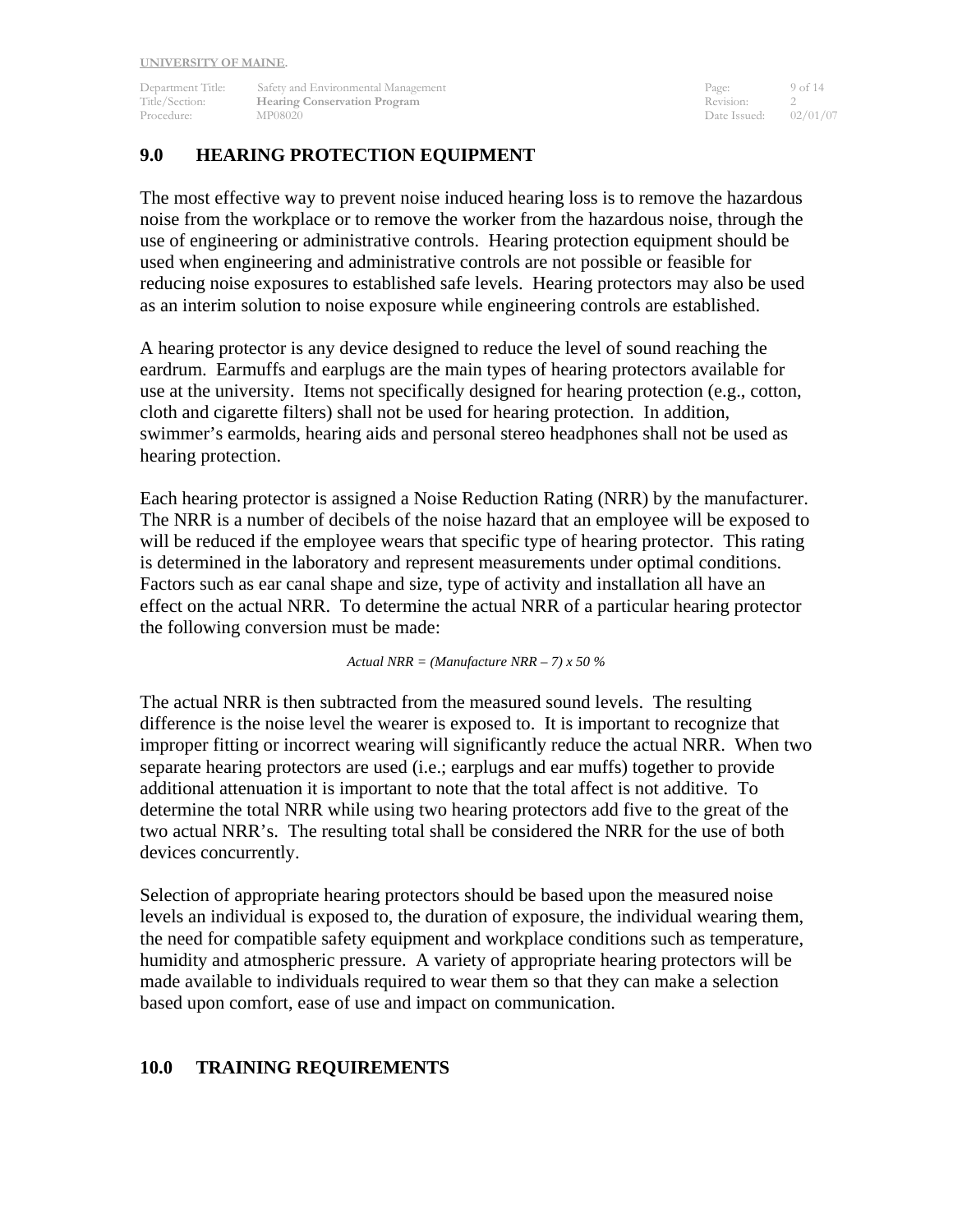Department Title: Safety and Environmental Management Page: 9 of 14<br>
Page: 9 of 14<br>
Pittle/Section: **Hearing Conservation Program** Revision: 2 **The Example 2 Section:** Revision: 2<br>
MP08020 Date Issued: 02/01/07 Procedure: MP08020 Date Issued: 02/02/02/02/07 Date Issued: 02/02/07/07/07/07/07/07

## **9.0 HEARING PROTECTION EQUIPMENT**

The most effective way to prevent noise induced hearing loss is to remove the hazardous noise from the workplace or to remove the worker from the hazardous noise, through the use of engineering or administrative controls. Hearing protection equipment should be used when engineering and administrative controls are not possible or feasible for reducing noise exposures to established safe levels. Hearing protectors may also be used as an interim solution to noise exposure while engineering controls are established.

A hearing protector is any device designed to reduce the level of sound reaching the eardrum. Earmuffs and earplugs are the main types of hearing protectors available for use at the university. Items not specifically designed for hearing protection (e.g., cotton, cloth and cigarette filters) shall not be used for hearing protection. In addition, swimmer's earmolds, hearing aids and personal stereo headphones shall not be used as hearing protection.

Each hearing protector is assigned a Noise Reduction Rating (NRR) by the manufacturer. The NRR is a number of decibels of the noise hazard that an employee will be exposed to will be reduced if the employee wears that specific type of hearing protector. This rating is determined in the laboratory and represent measurements under optimal conditions. Factors such as ear canal shape and size, type of activity and installation all have an effect on the actual NRR. To determine the actual NRR of a particular hearing protector the following conversion must be made:

*Actual NRR = (Manufacture NRR – 7) x 50 %* 

The actual NRR is then subtracted from the measured sound levels. The resulting difference is the noise level the wearer is exposed to. It is important to recognize that improper fitting or incorrect wearing will significantly reduce the actual NRR. When two separate hearing protectors are used (i.e.; earplugs and ear muffs) together to provide additional attenuation it is important to note that the total affect is not additive. To determine the total NRR while using two hearing protectors add five to the great of the two actual NRR's. The resulting total shall be considered the NRR for the use of both devices concurrently.

Selection of appropriate hearing protectors should be based upon the measured noise levels an individual is exposed to, the duration of exposure, the individual wearing them, the need for compatible safety equipment and workplace conditions such as temperature, humidity and atmospheric pressure. A variety of appropriate hearing protectors will be made available to individuals required to wear them so that they can make a selection based upon comfort, ease of use and impact on communication.

#### **10.0 TRAINING REQUIREMENTS**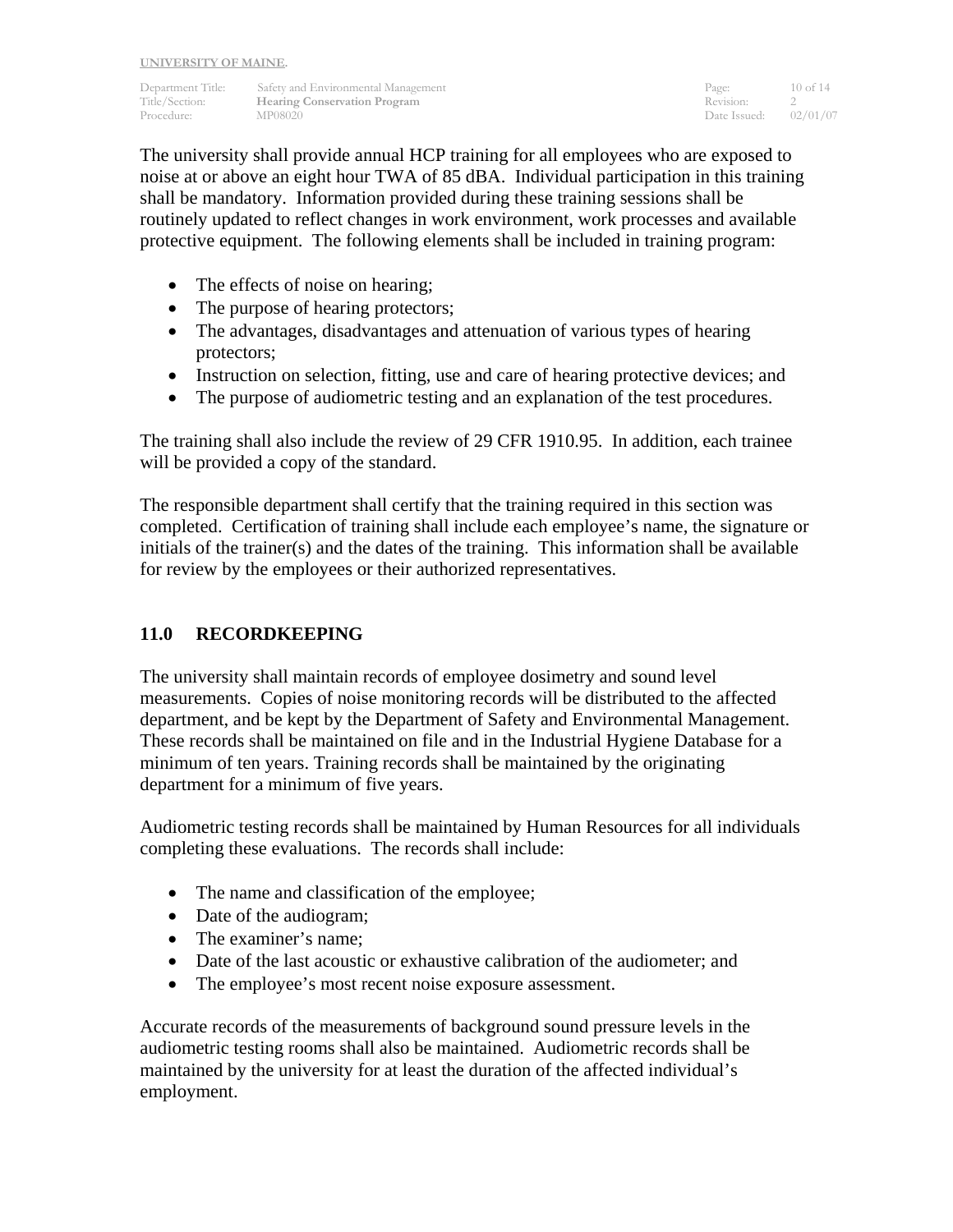Department Title: Safety and Environmental Management Page: 10 of 14<br>
Title/Section: Hearing Conservation Program Revision: 2 **The Example 2 Section:** Revision: 2<br>
MP08020 Date Issued: 02/01/07 Procedure: MP08020 Date Issued:

The university shall provide annual HCP training for all employees who are exposed to noise at or above an eight hour TWA of 85 dBA. Individual participation in this training shall be mandatory. Information provided during these training sessions shall be routinely updated to reflect changes in work environment, work processes and available protective equipment. The following elements shall be included in training program:

- The effects of noise on hearing;
- The purpose of hearing protectors;
- The advantages, disadvantages and attenuation of various types of hearing protectors;
- Instruction on selection, fitting, use and care of hearing protective devices; and
- The purpose of audiometric testing and an explanation of the test procedures.

The training shall also include the review of 29 CFR 1910.95. In addition, each trainee will be provided a copy of the standard.

The responsible department shall certify that the training required in this section was completed. Certification of training shall include each employee's name, the signature or initials of the trainer(s) and the dates of the training. This information shall be available for review by the employees or their authorized representatives.

## **11.0 RECORDKEEPING**

The university shall maintain records of employee dosimetry and sound level measurements. Copies of noise monitoring records will be distributed to the affected department, and be kept by the Department of Safety and Environmental Management. These records shall be maintained on file and in the Industrial Hygiene Database for a minimum of ten years. Training records shall be maintained by the originating department for a minimum of five years.

Audiometric testing records shall be maintained by Human Resources for all individuals completing these evaluations. The records shall include:

- The name and classification of the employee;
- Date of the audiogram;
- The examiner's name;
- Date of the last acoustic or exhaustive calibration of the audiometer; and
- The employee's most recent noise exposure assessment.

Accurate records of the measurements of background sound pressure levels in the audiometric testing rooms shall also be maintained. Audiometric records shall be maintained by the university for at least the duration of the affected individual's employment.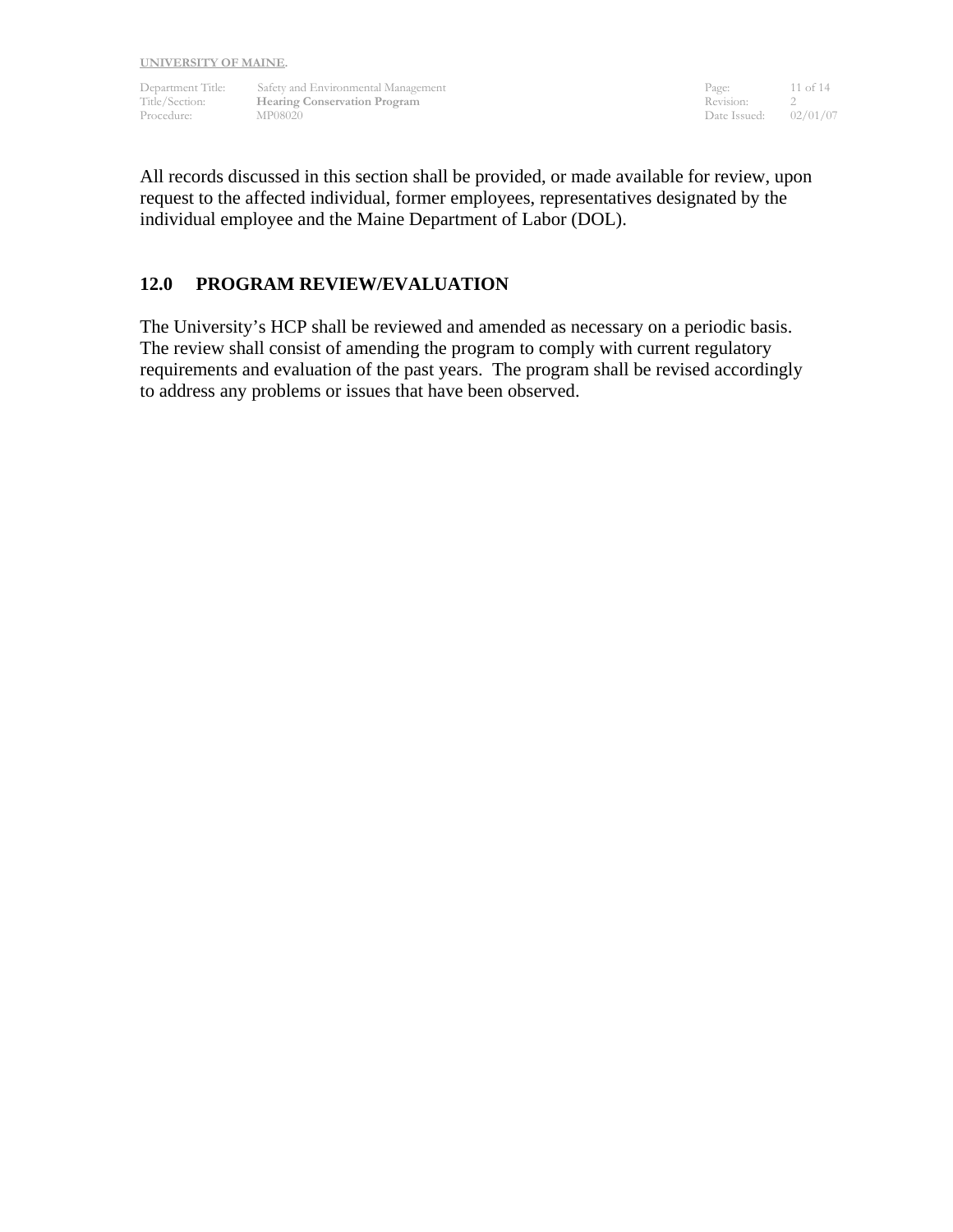Department Title: Safety and Environmental Management Page: 11 of 14 Title/Section: **Hearing Conservation Program**  Transfer and the Revision: 2 Procedure: MP08020 MP08020 Date Issued: 02/01/07

All records discussed in this section shall be provided, or made available for review, upon request to the affected individual, former employees, representatives designated by the individual employee and the Maine Department of Labor (DOL).

#### **12.0 PROGRAM REVIEW/EVALUATION**

The University's HCP shall be reviewed and amended as necessary on a periodic basis. The review shall consist of amending the program to comply with current regulatory requirements and evaluation of the past years. The program shall be revised accordingly to address any problems or issues that have been observed.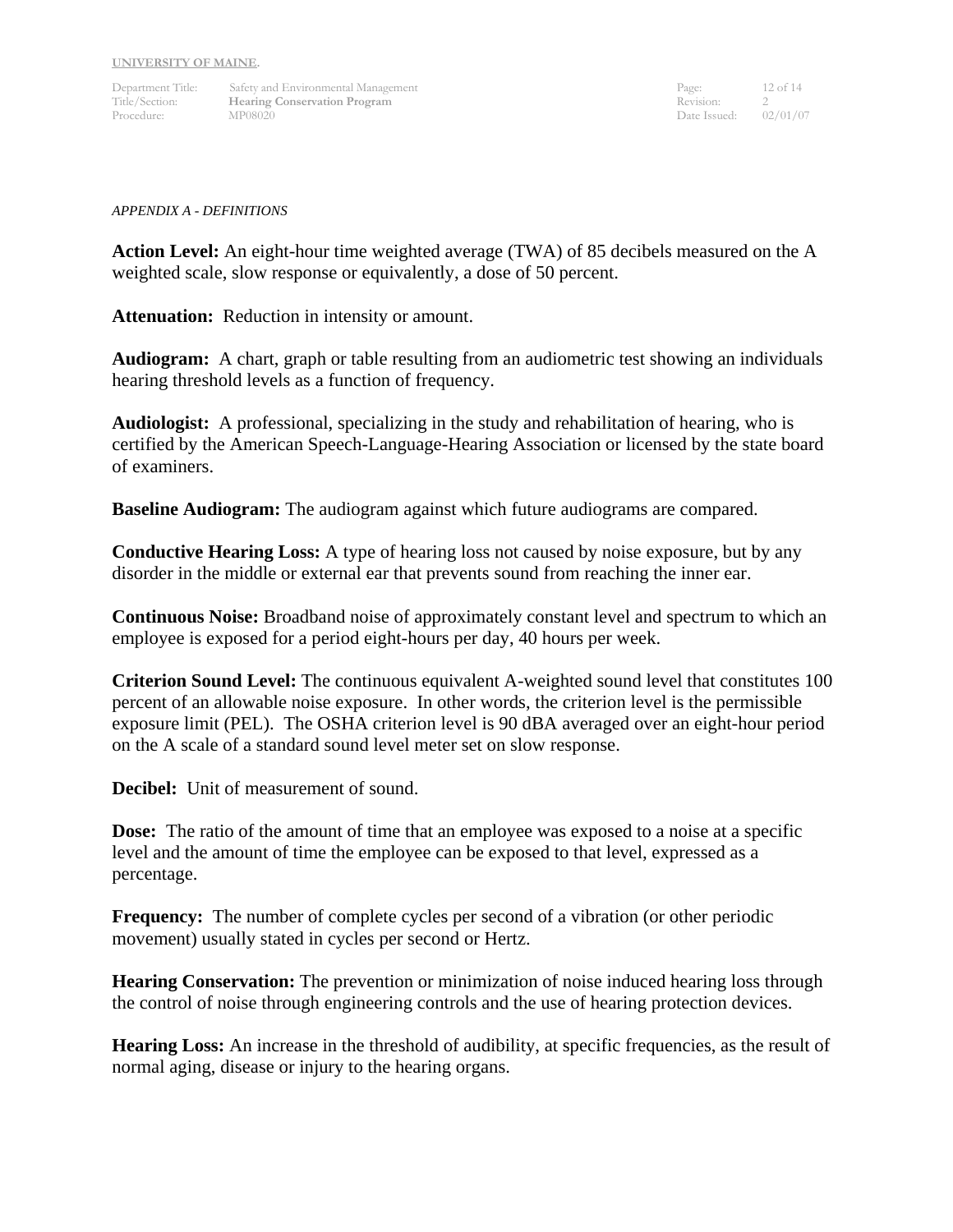Department Title: Safety and Environmental Management Page: 12 of 14 Title/Section: **Hearing Conservation Program**  Transfer and the Revision: 2 Procedure: MP08020 MP08020 Date Issued: 02/01/07

#### *APPENDIX A - DEFINITIONS*

**Action Level:** An eight-hour time weighted average (TWA) of 85 decibels measured on the A weighted scale, slow response or equivalently, a dose of 50 percent.

**Attenuation:** Reduction in intensity or amount.

**Audiogram:** A chart, graph or table resulting from an audiometric test showing an individuals hearing threshold levels as a function of frequency.

**Audiologist:** A professional, specializing in the study and rehabilitation of hearing, who is certified by the American Speech-Language-Hearing Association or licensed by the state board of examiners.

**Baseline Audiogram:** The audiogram against which future audiograms are compared.

**Conductive Hearing Loss:** A type of hearing loss not caused by noise exposure, but by any disorder in the middle or external ear that prevents sound from reaching the inner ear.

**Continuous Noise:** Broadband noise of approximately constant level and spectrum to which an employee is exposed for a period eight-hours per day, 40 hours per week.

**Criterion Sound Level:** The continuous equivalent A-weighted sound level that constitutes 100 percent of an allowable noise exposure. In other words, the criterion level is the permissible exposure limit (PEL). The OSHA criterion level is 90 dBA averaged over an eight-hour period on the A scale of a standard sound level meter set on slow response.

**Decibel:** Unit of measurement of sound.

**Dose:** The ratio of the amount of time that an employee was exposed to a noise at a specific level and the amount of time the employee can be exposed to that level, expressed as a percentage.

**Frequency:** The number of complete cycles per second of a vibration (or other periodic movement) usually stated in cycles per second or Hertz.

**Hearing Conservation:** The prevention or minimization of noise induced hearing loss through the control of noise through engineering controls and the use of hearing protection devices.

**Hearing Loss:** An increase in the threshold of audibility, at specific frequencies, as the result of normal aging, disease or injury to the hearing organs.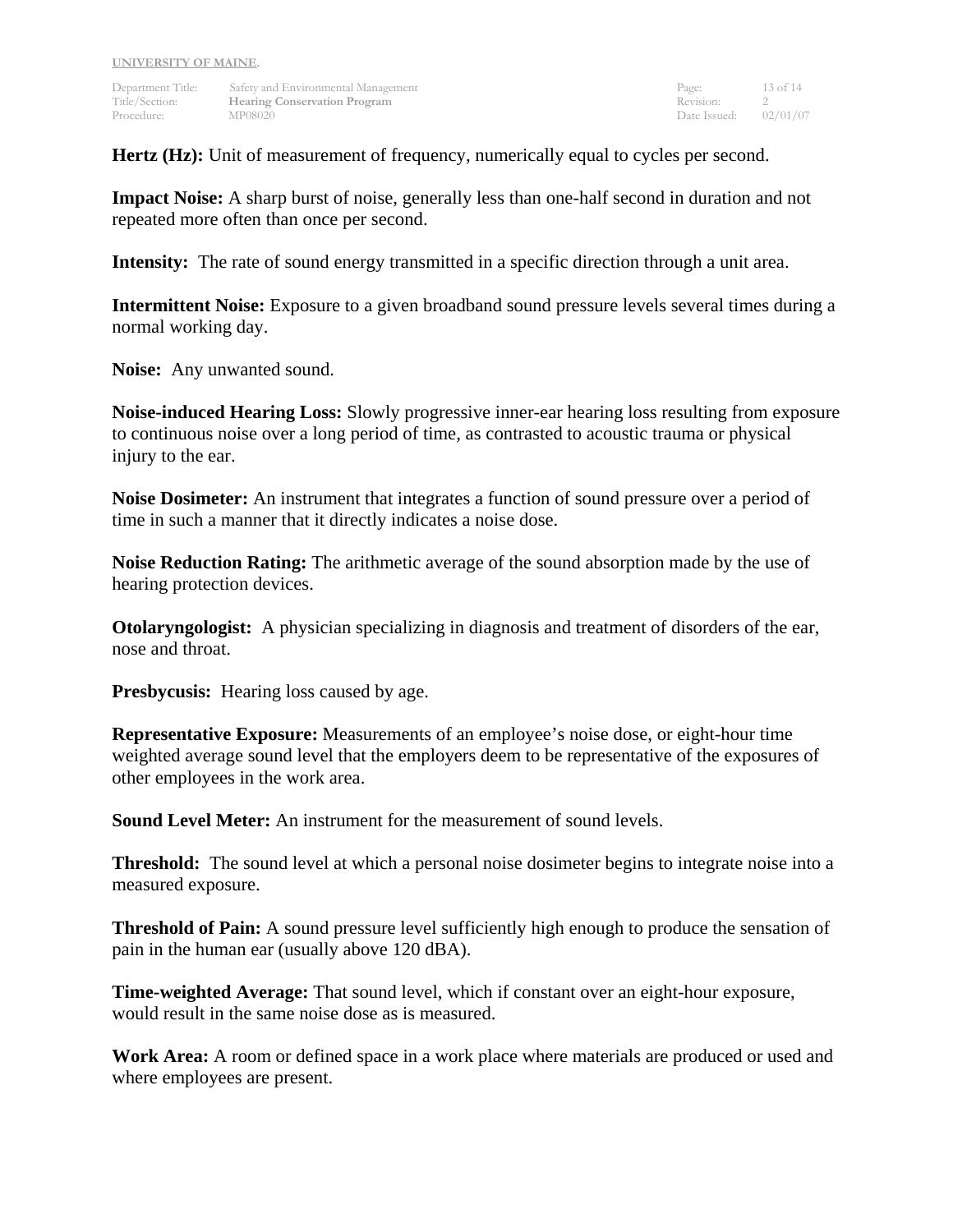Department Title: Safety and Environmental Management Page: 13 of 14<br>
13 of 14<br>
2 Title/Section: 2 Title/Section: **Hearing Conservation Program** Procedure: MP08020 Date Issued: 02/01/07

**Hertz (Hz):** Unit of measurement of frequency, numerically equal to cycles per second.

**Impact Noise:** A sharp burst of noise, generally less than one-half second in duration and not repeated more often than once per second.

**Intensity:** The rate of sound energy transmitted in a specific direction through a unit area.

**Intermittent Noise:** Exposure to a given broadband sound pressure levels several times during a normal working day.

**Noise:** Any unwanted sound.

**Noise-induced Hearing Loss:** Slowly progressive inner-ear hearing loss resulting from exposure to continuous noise over a long period of time, as contrasted to acoustic trauma or physical injury to the ear.

**Noise Dosimeter:** An instrument that integrates a function of sound pressure over a period of time in such a manner that it directly indicates a noise dose.

**Noise Reduction Rating:** The arithmetic average of the sound absorption made by the use of hearing protection devices.

**Otolaryngologist:** A physician specializing in diagnosis and treatment of disorders of the ear, nose and throat.

**Presbycusis:** Hearing loss caused by age.

**Representative Exposure:** Measurements of an employee's noise dose, or eight-hour time weighted average sound level that the employers deem to be representative of the exposures of other employees in the work area.

**Sound Level Meter:** An instrument for the measurement of sound levels.

**Threshold:** The sound level at which a personal noise dosimeter begins to integrate noise into a measured exposure.

**Threshold of Pain:** A sound pressure level sufficiently high enough to produce the sensation of pain in the human ear (usually above 120 dBA).

**Time-weighted Average:** That sound level, which if constant over an eight-hour exposure, would result in the same noise dose as is measured.

**Work Area:** A room or defined space in a work place where materials are produced or used and where employees are present.